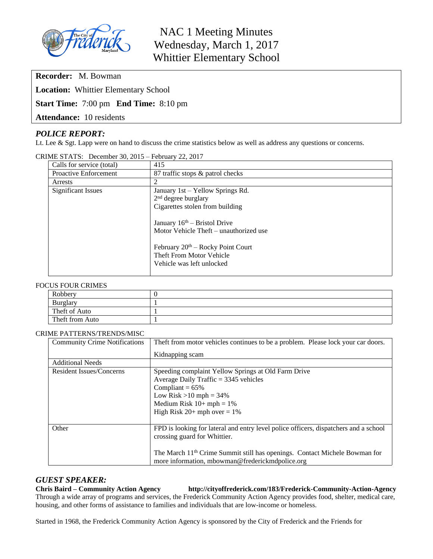

NAC 1 Meeting Minutes Wednesday, March 1, 2017 Whittier Elementary School

**Recorder:** M. Bowman

**Location:** Whittier Elementary School

**Start Time:** 7:00 pm **End Time:** 8:10 pm

**Attendance:** 10 residents

# *POLICE REPORT:*

Lt. Lee & Sgt. Lapp were on hand to discuss the crime statistics below as well as address any questions or concerns.

| $\mu$ . $\mu$ is the second state of $\mu$ | $1 \text{ cm}$ and $22 \text{ cm}$                                                                     |
|--------------------------------------------|--------------------------------------------------------------------------------------------------------|
| Calls for service (total)                  | 415                                                                                                    |
| <b>Proactive Enforcement</b>               | 87 traffic stops & patrol checks                                                                       |
| Arrests                                    | 2                                                                                                      |
| <b>Significant Issues</b>                  | January 1st - Yellow Springs Rd.                                                                       |
|                                            | $2nd$ degree burglary                                                                                  |
|                                            | Cigarettes stolen from building                                                                        |
|                                            | January $16th$ – Bristol Drive                                                                         |
|                                            | Motor Vehicle Theft – unauthorized use                                                                 |
|                                            | February 20 <sup>th</sup> – Rocky Point Court<br>Theft From Motor Vehicle<br>Vehicle was left unlocked |
|                                            |                                                                                                        |

CRIME STATS: December 30, 2015 – February 22, 2017

#### FOCUS FOUR CRIMES

| Robbery         |  |  |  |
|-----------------|--|--|--|
| <b>Burglary</b> |  |  |  |
| Theft of Auto   |  |  |  |
| Theft from Auto |  |  |  |

#### CRIME PATTERNS/TRENDS/MISC

| <b>Community Crime Notifications</b> | The ft from motor vehicles continues to be a problem. Please lock your car doors.      |  |  |
|--------------------------------------|----------------------------------------------------------------------------------------|--|--|
|                                      | Kidnapping scam                                                                        |  |  |
| <b>Additional Needs</b>              |                                                                                        |  |  |
| <b>Resident Issues/Concerns</b>      | Speeding complaint Yellow Springs at Old Farm Drive                                    |  |  |
|                                      | Average Daily Traffic $=$ 3345 vehicles                                                |  |  |
|                                      | Compliant = $65\%$                                                                     |  |  |
|                                      | Low Risk $>10$ mph = 34%                                                               |  |  |
|                                      | Medium Risk $10+mph = 1%$                                                              |  |  |
|                                      | High Risk $20+$ mph over = 1%                                                          |  |  |
|                                      |                                                                                        |  |  |
| Other                                | FPD is looking for lateral and entry level police officers, dispatchers and a school   |  |  |
|                                      | crossing guard for Whittier.                                                           |  |  |
|                                      |                                                                                        |  |  |
|                                      | The March 11 <sup>th</sup> Crime Summit still has openings. Contact Michele Bowman for |  |  |
|                                      | more information, mbowman@frederickmdpolice.org                                        |  |  |

### *GUEST SPEAKER:*

#### **Chris Baird – Community Action Agency http://cityoffrederick.com/183/Frederick-Community-Action-Agency** Through a wide array of programs and services, the Frederick Community Action Agency provides food, shelter, medical care, housing, and other forms of assistance to families and individuals that are low-income or homeless.

Started in 1968, the Frederick Community Action Agency is sponsored by the City of Frederick and the Friends for